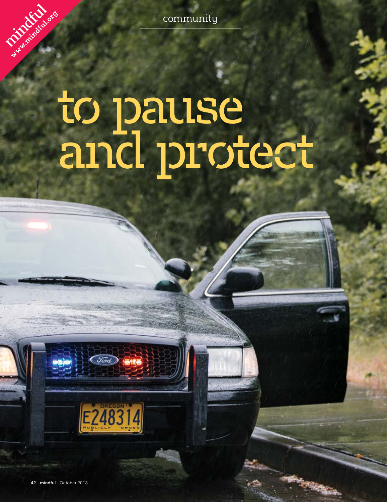community

# to pause and protect



42 mindful October 2013

W.M. Millione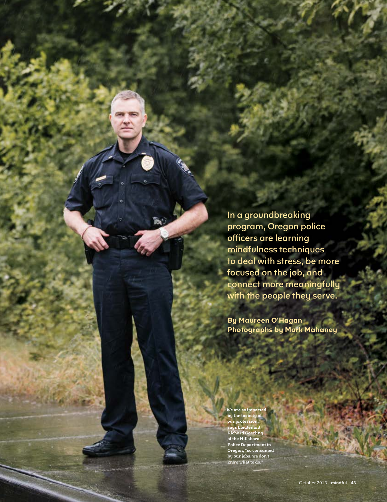In a groundbreaking program, Oregon police officers are learning mindfulness techniques to deal with stress, be more focused on the job, and connect more meaningfully with the people they serve.

ĥ0

**By Maureen O'Hagan Photographs by Mark Mahaney**

 $\bar{w}$ e are so imp **by the toxicity our profession," s** Lieute **Richard Goerling of the Hillsboro Police Department in Oregon, "so consumed by our jobs, we don't know what to do."**

ı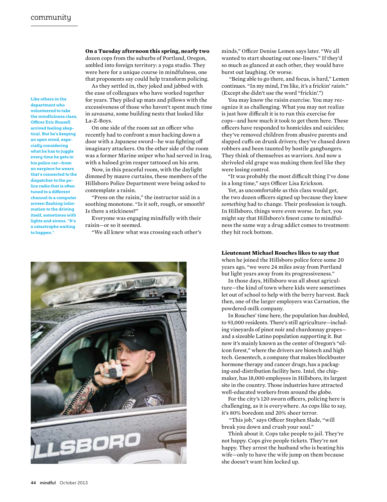**On a Tuesday afternoon this spring, nearly two**  dozen cops from the suburbs of Portland, Oregon, ambled into foreign territory: a yoga studio. They were here for a unique course in mindfulness, one that proponents say could help transform policing.

**Like others in the department who volunteered to take the mindfulness class, Officer Eric Russell arrived feeling skeptical. But he's keeping an open mind, especially considering what he has to juggle every time he gets in his police car—from an earpiece he wears that's connected to the dispatcher to the police radio that is often tuned to a different channel to a computer screen flashing information to the driving itself, sometimes with lights and sirens. "It's a catastrophe waiting to happen."** 

As they settled in, they joked and jabbed with the ease of colleagues who have worked together for years. They piled up mats and pillows with the excessiveness of those who haven't spent much time in *savasana*, some building nests that looked like La-Z-Boys.

On one side of the room sat an officer who recently had to confront a man hacking down a door with a Japanese sword—he was fighting off imaginary attackers. On the other side of the room was a former Marine sniper who had served in Iraq, with a haloed grim reaper tattooed on his arm.

Now, in this peaceful room, with the daylight dimmed by mauve curtains, these members of the Hillsboro Police Department were being asked to contemplate a raisin.

"Press on the raisin," the instructor said in a soothing monotone. "Is it soft, rough, or smooth? Is there a stickiness?"

Everyone was engaging mindfully with their raisin—or so it seemed.

"We all knew what was crossing each other's



minds," Officer Denise Lemen says later. "We all wanted to start shouting out one-liners." If they'd so much as glanced at each other, they would have burst out laughing. Or worse.

 "Being able to go there, and focus, is hard," Lemen continues. "In my mind, I'm like, it's a frickin' *raisin*." (Except she didn't use the word "frickin'.")

You may know the raisin exercise. You may recognize it as challenging. What you may not realize is just how difficult it is to run this exercise for cops—and how much it took to get them here. These officers have responded to homicides and suicides; they've removed children from abusive parents and slapped cuffs on drunk drivers; they've chased down robbers and been taunted by hostile gangbangers. They think of themselves as warriors. And now a shriveled old grape was making them feel like they were losing control.

"It was probably the most difficult thing I've done in a long time," says Officer Lisa Erickson.

Yet, as uncomfortable as this class would get, the two dozen officers signed up because they knew *something* had to change. Their profession is tough. In Hillsboro, things were even worse. In fact, you might say that Hillsboro's finest came to mindfulness the same way a drug addict comes to treatment: they hit rock bottom.

### **Lieutenant Michael Rouches likes to say that**

when he joined the Hillsboro police force some 20 years ago, "we were 24 miles away from Portland but light years away from its progressiveness."

In those days, Hillsboro was all about agriculture—the kind of town where kids were sometimes let out of school to help with the berry harvest. Back then, one of the larger employers was Carnation, the powdered-milk company.

In Rouches' time here, the population has doubled, to 93,000 residents. There's still agriculture—including vineyards of pinot noir and chardonnay grapes and a sizeable Latino population supporting it. But now it's mainly known as the center of Oregon's "silicon forest," where the drivers are biotech and high tech. Genentech, a company that makes blockbuster hormone therapy and cancer drugs, has a packaging-and-distribution facility here. Intel, the chipmaker, has 18,000 employees in Hillsboro, its largest site in the country. Those industries have attracted well-educated workers from around the globe.

For the city's 120 sworn officers, policing here is challenging, as it is everywhere. As cops like to say, it's 80% boredom and 20% sheer terror.

 "This job," says Officer Stephen Slade, "will break you down and crush your soul."

Think about it. Cops take people to jail. They're not happy. Cops give people tickets. They're not happy. They arrest the husband who is beating his wife—only to have the wife jump on them because she doesn't want him locked up.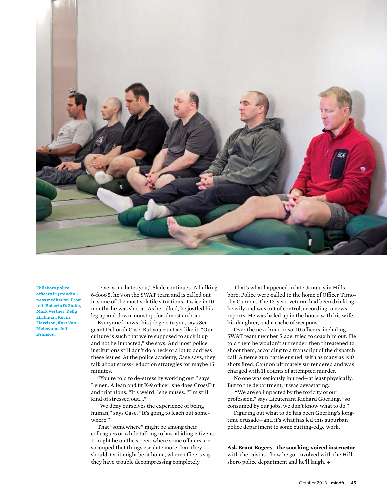

**Hillsboro police officers try mindfulness meditation. From left, Roberto DiGiulio, Mark Vertner, Kelly Hickman, Kevin Harrison, Kurt Van Meter, and Jeff Branson.**

"Everyone hates you," Slade continues. A hulking 6-foot-5, he's on the SWAT team and is called out in some of the most volatile situations. Twice in 10 months he was shot at. As he talked, he jostled his leg up and down, nonstop, for almost an hour.

Everyone knows this job gets to you, says Sergeant Deborah Case. But you can't act like it. "Our culture is such that we're supposed to suck it up and not be impacted," she says. And most police institutions still don't do a heck of a lot to address these issues. At the police academy, Case says, they talk about stress-reduction strategies for maybe 15 minutes.

"You're told to de-stress by working out," says Lemen. A lean and fit K-9 officer, she does CrossFit and triathlons. "It's weird," she muses. "I'm still kind of stressed out…."

"We deny ourselves the experience of being human," says Case. "It's going to leach out somewhere."

That "somewhere" might be among their colleagues or while talking to law-abiding citizens. It might be on the street, where some officers are so amped that things escalate more than they should. Or it might be at home, where officers say they have trouble decompressing completely.

That's what happened in late January in Hillsboro. Police were called to the home of Officer Timothy Cannon. The 13-year-veteran had been drinking heavily and was out of control, according to news reports. He was holed up in the house with his wife, his daughter, and a cache of weapons.

Over the next hour or so, 10 officers, including SWAT team member Slade, tried to coax him out. He told them he wouldn't surrender, then threatened to shoot them, according to a transcript of the dispatch call. A fierce gun battle ensued, with as many as 100 shots fired. Cannon ultimately surrendered and was charged with 11 counts of attempted murder.

No one was seriously injured—at least physically. But to the department, it was devastating.

 "We are so impacted by the toxicity of our profession," says Lieutenant Richard Goerling, "so consumed by our jobs, we don't know what to do."

Figuring out what to do has been Goerling's longtime crusade—and it's what has led this suburban police department to some cutting-edge work.

**Ask Brant Rogers—the soothing-voiced instructor** with the raisins—how he got involved with the Hillsboro police department and he'll laugh. **→**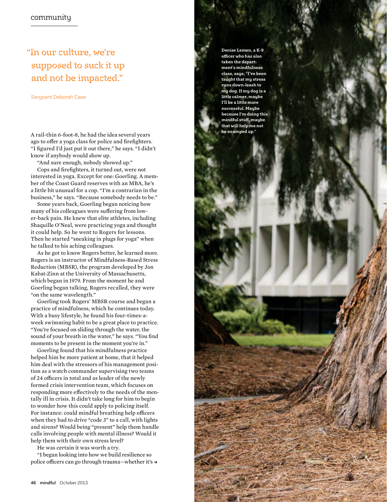# "In our culture, we're supposed to suck it up and not be impacted."

### Sergeant Deborah Case

A rail-thin 6-foot-8, he had the idea several years ago to offer a yoga class for police and firefighters. "I figured I'd just put it out there," he says. "I didn't know if anybody would show up.

"And sure enough, nobody showed up."

Cops and firefighters, it turned out, were not interested in yoga. Except for one: Goerling. A member of the Coast Guard reserves with an MBA, he's a little bit unusual for a cop. "I'm a contrarian in the business," he says. "Because somebody needs to be."

Some years back, Goerling began noticing how many of his colleagues were suffering from lower-back pain. He knew that elite athletes, including Shaquille O'Neal, were practicing yoga and thought it could help. So he went to Rogers for lessons. Then he started "sneaking in plugs for yoga" when he talked to his aching colleagues.

As he got to know Rogers better, he learned more. Rogers is an instructor of Mindfulness-Based Stress Reduction (MBSR), the program developed by Jon Kabat-Zinn at the University of Massachusetts, which began in 1979. From the moment he and Goerling began talking, Rogers recalled, they were "on the same wavelength."

Goerling took Rogers' MBSR course and began a practice of mindfulness, which he continues today. With a busy lifestyle, he found his four-times-aweek swimming habit to be a great place to practice. "You're focused on sliding through the water, the sound of your breath in the water," he says. "You find moments to be present in the moment you're in."

Goerling found that his mindfulness practice helped him be more patient at home, that it helped him deal with the stressors of his management position as a watch commander supervising two teams of 24 officers in total and as leader of the newly formed crisis intervention team, which focuses on responding more effectively to the needs of the mentally ill in crisis. It didn't take long for him to begin to wonder how this could apply to policing itself. For instance: could mindful breathing help officers when they had to drive "code 3" to a call, with lights and sirens? Would being "present" help them handle calls involving people with mental illness? Would it help them with their own stress level?

He was certain it was worth a try.

"I began looking into how we build resilience so police officers can go through trauma—whether it's **→**

**Denise Lemen, a K-9 officer who has also taken the department's mindfulness class, says, "I've been taught that my stress runs down-leash to my dog. If my dog is a little calmer, maybe I'll be a little more successful. Maybe because I'm doing this mindful stuff, maybe that will help me not be so amped up."**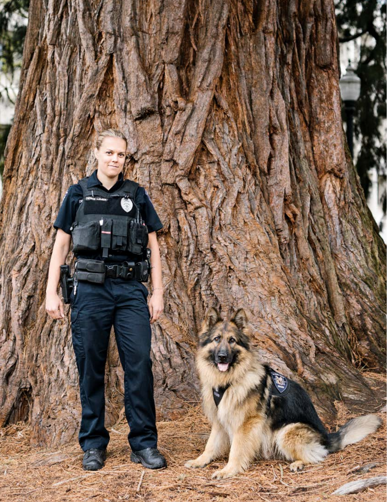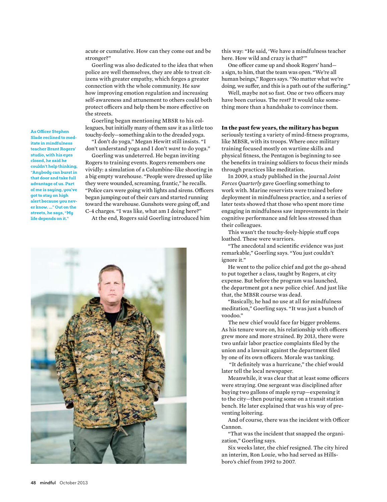acute or cumulative. How can they come out and be stronger?"

Goerling was also dedicated to the idea that when police are well themselves, they are able to treat citizens with greater empathy, which forges a greater connection with the whole community. He saw how improving emotion regulation and increasing self-awareness and attunement to others could both protect officers and help them be more effective on the streets.

Goerling began mentioning MBSR to his colleagues, but initially many of them saw it as a little too touchy-feely—something akin to the dreaded yoga.

"I don't do yoga," Megan Hewitt still insists. "I don't understand yoga and I don't *want* to do yoga."

Goerling was undeterred. He began inviting Rogers to training events. Rogers remembers one vividly: a simulation of a Columbine-like shooting in a big empty warehouse. "People were dressed up like they were wounded, screaming, frantic," he recalls. "Police cars were going with lights and sirens. Officers began jumping out of their cars and started running toward the warehouse. Gunshots were going off, and C-4 charges. "I was like, what am I doing here?"

At the end, Rogers said Goerling introduced him



this way: "He said, 'We have a mindfulness teacher here. How wild and crazy is that?'"

One officer came up and shook Rogers' hand a sign, to him, that the team was open. "We're all human beings," Rogers says. "No matter what we're doing, we suffer, and this is a path out of the suffering."

Well, maybe not so fast. One or two officers may have been curious. The rest? It would take something more than a handshake to convince them.

### **In the past few years, the military has begun**

seriously testing a variety of mind-fitness programs, like MBSR, with its troops. Where once military training focused mostly on wartime skills and physical fitness, the Pentagon is beginning to see the benefits in training soldiers to focus their minds through practices like meditation.

In 2009, a study published in the journal *Joint Forces Quarterly* gave Goerling something to work with. Marine reservists were trained before deployment in mindfulness practice, and a series of later tests showed that those who spent more time engaging in mindfulness saw improvements in their cognitive performance and felt less stressed than their colleagues.

This wasn't the touchy-feely-hippie stuff cops loathed. These were warriors.

"The anecdotal and scientific evidence was just remarkable," Goerling says. "You just couldn't ignore it."

He went to the police chief and got the go-ahead to put together a class, taught by Rogers, at city expense. But before the program was launched, the department got a new police chief. And just like that, the MBSR course was dead.

"Basically, he had no use at all for mindfulness meditation," Goerling says. "It was just a bunch of voodoo."

The new chief would face far bigger problems. As his tenure wore on, his relationship with officers grew more and more strained. By 2013, there were two unfair labor practice complaints filed by the union and a lawsuit against the department filed by one of its own officers. Morale was tanking.

 "It definitely was a hurricane," the chief would later tell the local newspaper.

Meanwhile, it was clear that at least some officers were straying. One sergeant was disciplined after buying two gallons of maple syrup—expensing it to the city—then pouring some on a transit station bench. He later explained that was his way of preventing loitering.

And of course, there was the incident with Officer Cannon.

"That was the incident that snapped the organization," Goerling says.

Six weeks later, the chief resigned. The city hired an interim, Ron Louie, who had served as Hillsboro's chief from 1992 to 2007.

**As Officer Stephen Slade reclined to meditate in mindfulness teacher Brant Rogers' studio, with his eyes closed, he said he couldn't help thinking, "Anybody can burst in that door and take full advantage of us. Part of me is saying, you've got to stay on high alert because you never know. …" Out on the streets, he says, "My life depends on it."**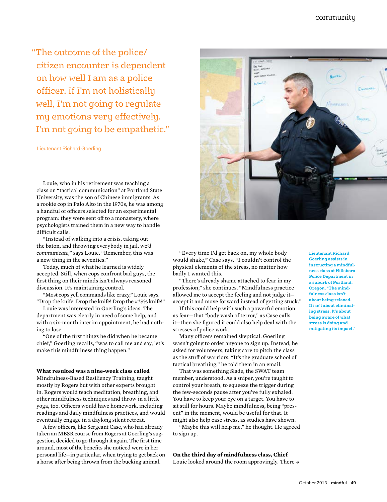"The outcome of the police/ citizen encounter is dependent on how well I am as a police officer. If I'm not holistically well, I'm not going to regulate my emotions very effectively. I'm not going to be empathetic."

Lieutenant Richard Goerling

Louie, who in his retirement was teaching a class on "tactical communication" at Portland State University, was the son of Chinese immigrants. As a rookie cop in Palo Alto in the 1970s, he was among a handful of officers selected for an experimental program: they were sent off to a monastery, where psychologists trained them in a new way to handle difficult calls.

"Instead of walking into a crisis, taking out the baton, and throwing everybody in jail, we'd *communicate*," says Louie. "Remember, this was a new thing in the seventies."

Today, much of what he learned is widely accepted. Still, when cops confront bad guys, the first thing on their minds isn't always reasoned discussion. It's maintaining control.

"Most cops yell commands like crazy," Louie says. "Drop the knife! Drop the knife! Drop the #\*\$% knife!"

Louie was interested in Goerling's ideas. The department was clearly in need of some help, and with a six-month interim appointment, he had nothing to lose.

"One of the first things he did when he became chief," Goerling recalls, "was to call me and say, let's make this mindfulness thing happen."

### **What resulted was a nine-week class called**

Mindfulness-Based Resiliency Training, taught mostly by Rogers but with other experts brought in. Rogers would teach meditation, breathing, and other mindfulness techniques and throw in a little yoga, too. Officers would have homework, including readings and daily mindfulness practices, and would eventually engage in a daylong silent retreat.

A few officers, like Sergeant Case, who had already taken an MBSR course from Rogers at Goerling's suggestion, decided to go through it again. The first time around, most of the benefits she noticed were in her personal life—in particular, when trying to get back on a horse after being thrown from the bucking animal.



"Every time I'd get back on, my whole body would shake," Case says. "I couldn't control the physical elements of the stress, no matter how badly I wanted this.

"There's already shame attached to fear in my profession," she continues. "Mindfulness practice allowed me to accept the feeling and not judge it accept it and move forward instead of getting stuck."

If this could help with such a powerful emotion as fear—that "body wash of terror," as Case calls it—then she figured it could also help deal with the stresses of police work.

Many officers remained skeptical. Goerling wasn't going to order anyone to sign up. Instead, he asked for volunteers, taking care to pitch the class as the stuff of warriors. "It's the graduate school of tactical breathing," he told them in an email.

That was something Slade, the SWAT team member, understood. As a sniper, you're taught to control your breath, to squeeze the trigger during the few-seconds pause after you've fully exhaled. You have to keep your eye on a target. You have to sit still for hours. Maybe mindfulness, being "present" in the moment, would be useful for that. It might also help ease stress, as studies have shown.

"Maybe this will help me," he thought. He agreed to sign up.

**On the third day of mindfulness class, Chief**  Louie looked around the room approvingly. There **→**

**Lieutenant Richard Goerling assists in instructing a mindfulness class at Hillsboro Police Department in a suburb of Portland, Oregon. "The mindfulness class isn't about being relaxed. It isn't about eliminating stress. It's about being aware of what stress is doing and mitigating its impact."**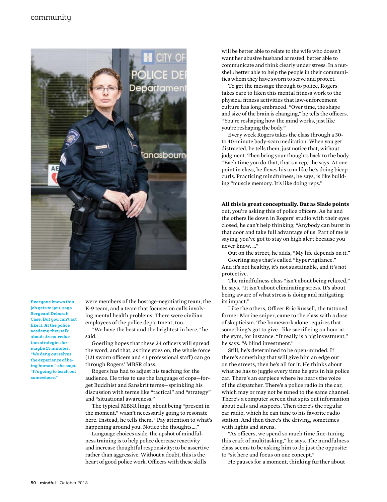

**Everyone knows this job gets to you, says Sergeant Deborah Case. But you can't act like it. At the police academy they talk about stress-reduction strategies for maybe 15 minutes. "We deny ourselves the experience of being human," she says. "It's going to leach out somewhere."**

were members of the hostage-negotiating team, the K-9 team, and a team that focuses on calls involving mental health problems. There were civilian employees of the police department, too.

"We have the best and the brightest in here," he said.

Goerling hopes that these 24 officers will spread the word, and that, as time goes on, the whole force (121 sworn officers and 41 professional staff) can go through Rogers' MBSR class.

Rogers has had to adjust his teaching for the audience. He tries to use the language of cops—forget Buddhist and Sanskrit terms—sprinkling his discussion with terms like "tactical" and "strategy" and "situational awareness."

The typical MBSR lingo, about being "present in the moment," wasn't necessarily going to resonate here. Instead, he tells them, "Pay attention to what's happening around you. Notice the thoughts…."

Language choices aside, the upshot of mindfulness training is to help police decrease reactivity and increase thoughtful responsivity; to be assertive rather than aggressive. Without a doubt, this is the heart of good police work. Officers with these skills

will be better able to relate to the wife who doesn't want her abusive husband arrested, better able to communicate and think clearly under stress. In a nutshell: better able to help the people in their communities whom they have sworn to serve and protect.

To get the message through to police, Rogers takes care to liken this mental fitness work to the physical fitness activities that law-enforcement culture has long embraced. "Over time, the shape and size of the brain is changing," he tells the officers. "You're reshaping how the mind works, just like you're reshaping the body."

Every week Rogers takes the class through a 30 to 40-minute body-scan meditation. When you get distracted, he tells them, just notice that, without judgment. Then bring your thoughts back to the body. "Each time you do that, that's a rep," he says. At one point in class, he flexes his arm like he's doing bicep curls. Practicing mindfulness, he says, is like building "muscle memory. It's like doing reps."

### **All this is great conceptually. But as Slade points**

out, you're asking this of police officers. As he and the others lie down in Rogers' studio with their eyes closed, he can't help thinking, "Anybody can burst in that door and take full advantage of us. Part of me is saying, you've got to stay on high alert because you never know. …"

Out on the street, he adds, "My life depends on it." Goerling says that's called "hypervigilance."

And it's not healthy, it's not sustainable, and it's not protective.

The mindfulness class "isn't about being relaxed," he says. "It isn't about eliminating stress. It's about being aware of what stress is doing and mitigating its impact."

Like the others, Officer Eric Russell, the tattooed former Marine sniper, came to the class with a dose of skepticism. The homework alone requires that something's got to give—like sacrificing an hour at the gym, for instance. "It really is a big investment," he says. "A blind investment."

Still, he's determined to be open-minded. If there's something that will give him an edge out on the streets, then he's all for it. He thinks about what he has to juggle every time he gets in his police car. There's an earpiece where he hears the voice of the dispatcher. There's a police radio in the car, which may or may not be tuned to the same channel. There's a computer screen that spits out information about calls and suspects. Then there's the regular car radio, which he can tune to his favorite radio station. And then there's the driving, sometimes with lights and sirens.

"As officers, we spend so much time fine-tuning this craft of multitasking," he says. The mindfulness class seems to be asking him to do just the opposite: to "sit here and focus on one concept."

He pauses for a moment, thinking further about